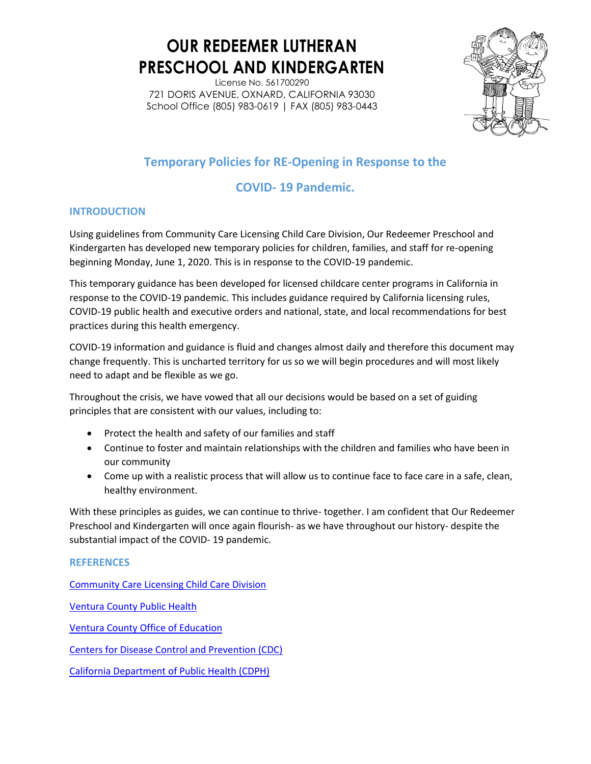License No. 561700290 721 DORIS AVENUE, OXNARD, CALIFORNIA 93030 School Office (805) 983-0619 | FAX (805) 983-0443



## **Temporary Policies for RE-Opening in Response to the**

### **COVID- 19 Pandemic.**

#### **INTRODUCTION**

Using guidelines from Community Care Licensing Child Care Division, Our Redeemer Preschool and Kindergarten has developed new temporary policies for children, families, and staff for re-opening beginning Monday, June 1, 2020. This is in response to the COVID-19 pandemic.

This temporary guidance has been developed for licensed childcare center programs in California in response to the COVID-19 pandemic. This includes guidance required by California licensing rules, COVID-19 public health and executive orders and national, state, and local recommendations for best practices during this health emergency.

COVID-19 information and guidance is fluid and changes almost daily and therefore this document may change frequently. This is uncharted territory for us so we will begin procedures and will most likely need to adapt and be flexible as we go.

Throughout the crisis, we have vowed that all our decisions would be based on a set of guiding principles that are consistent with our values, including to:

- Protect the health and safety of our families and staff
- Continue to foster and maintain relationships with the children and families who have been in our community
- Come up with a realistic process that will allow us to continue face to face care in a safe, clean, healthy environment.

With these principles as guides, we can continue to thrive- together. I am confident that Our Redeemer Preschool and Kindergarten will once again flourish- as we have throughout our history- despite the substantial impact of the COVID- 19 pandemic.

#### **REFERENCES**

[Community Care Licensing Child Care Division](about:blank)

[Ventura County Public Health](about:blank)

[Ventura County Office of Education](about:blank)

[Centers for Disease Control and Prevention \(CDC\)](about:blank)

[California Department of Public Health \(CDPH\)](about:blank)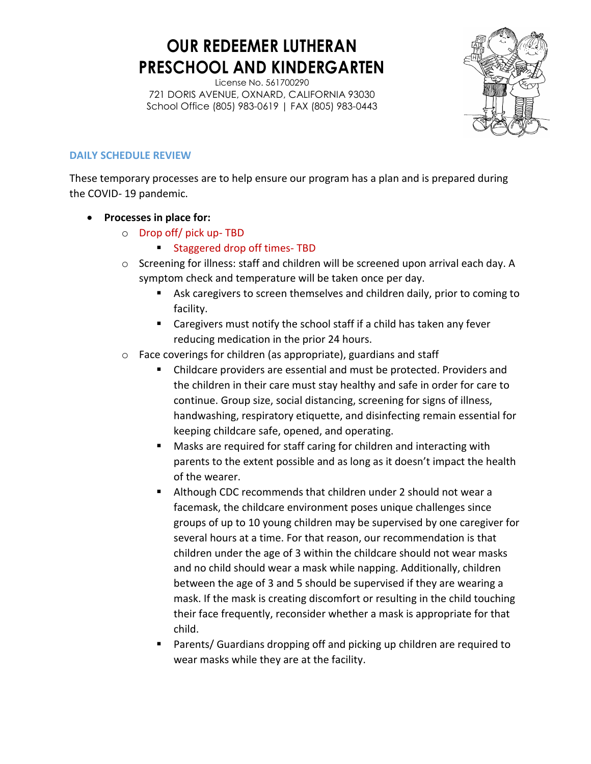License No. 561700290 721 DORIS AVENUE, OXNARD, CALIFORNIA 93030 School Office (805) 983-0619 | FAX (805) 983-0443



#### **DAILY SCHEDULE REVIEW**

These temporary processes are to help ensure our program has a plan and is prepared during the COVID- 19 pandemic.

- **Processes in place for:** 
	- o Drop off/ pick up- TBD
		- **Staggered drop off times- TBD**
	- o Screening for illness: staff and children will be screened upon arrival each day. A symptom check and temperature will be taken once per day.
		- Ask caregivers to screen themselves and children daily, prior to coming to facility.
		- Caregivers must notify the school staff if a child has taken any fever reducing medication in the prior 24 hours.
	- o Face coverings for children (as appropriate), guardians and staff
		- Childcare providers are essential and must be protected. Providers and the children in their care must stay healthy and safe in order for care to continue. Group size, social distancing, screening for signs of illness, handwashing, respiratory etiquette, and disinfecting remain essential for keeping childcare safe, opened, and operating.
		- Masks are required for staff caring for children and interacting with parents to the extent possible and as long as it doesn't impact the health of the wearer.
		- Although CDC recommends that children under 2 should not wear a facemask, the childcare environment poses unique challenges since groups of up to 10 young children may be supervised by one caregiver for several hours at a time. For that reason, our recommendation is that children under the age of 3 within the childcare should not wear masks and no child should wear a mask while napping. Additionally, children between the age of 3 and 5 should be supervised if they are wearing a mask. If the mask is creating discomfort or resulting in the child touching their face frequently, reconsider whether a mask is appropriate for that child.
		- Parents/ Guardians dropping off and picking up children are required to wear masks while they are at the facility.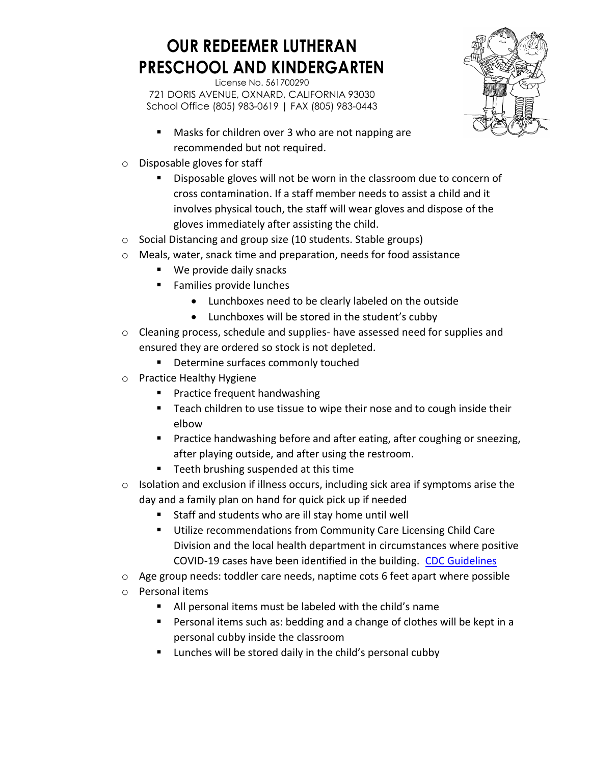

- **Masks for children over 3 who are not napping are** recommended but not required.
- o Disposable gloves for staff
	- Disposable gloves will not be worn in the classroom due to concern of cross contamination. If a staff member needs to assist a child and it involves physical touch, the staff will wear gloves and dispose of the gloves immediately after assisting the child.
- o Social Distancing and group size (10 students. Stable groups)
- o Meals, water, snack time and preparation, needs for food assistance
	- We provide daily snacks
	- **Families provide lunches** 
		- Lunchboxes need to be clearly labeled on the outside
		- Lunchboxes will be stored in the student's cubby
- $\circ$  Cleaning process, schedule and supplies- have assessed need for supplies and ensured they are ordered so stock is not depleted.
	- **•** Determine surfaces commonly touched
- o Practice Healthy Hygiene
	- **Practice frequent handwashing**
	- Teach children to use tissue to wipe their nose and to cough inside their elbow
	- **Practice handwashing before and after eating, after coughing or sneezing,** after playing outside, and after using the restroom.
	- **Teeth brushing suspended at this time**
- $\circ$  Isolation and exclusion if illness occurs, including sick area if symptoms arise the day and a family plan on hand for quick pick up if needed
	- Staff and students who are ill stay home until well
	- **Utilize recommendations from Community Care Licensing Child Care** Division and the local health department in circumstances where positive COVID-19 cases have been identified in the building. [CDC Guidelines](about:blank)
- o Age group needs: toddler care needs, naptime cots 6 feet apart where possible
- o Personal items
	- All personal items must be labeled with the child's name
	- **Personal items such as: bedding and a change of clothes will be kept in a** personal cubby inside the classroom
	- **E** Lunches will be stored daily in the child's personal cubby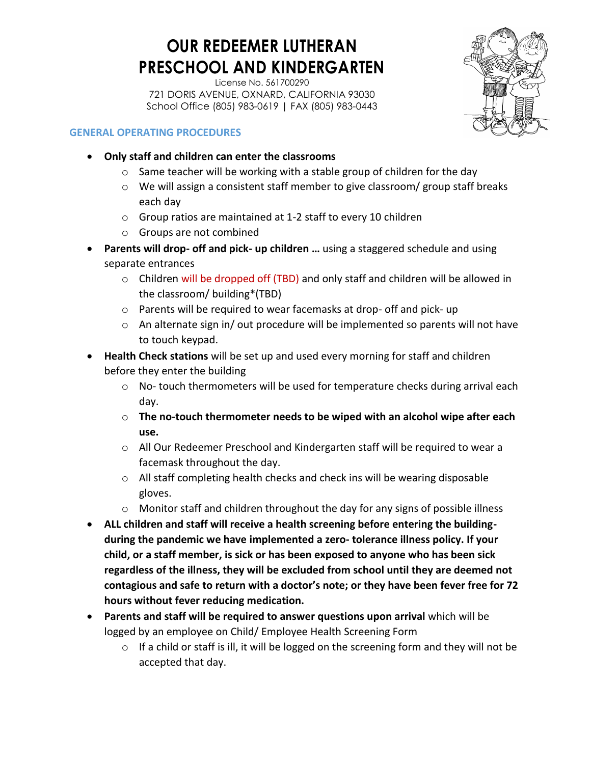License No. 561700290 721 DORIS AVENUE, OXNARD, CALIFORNIA 93030 School Office (805) 983-0619 | FAX (805) 983-0443



#### **GENERAL OPERATING PROCEDURES**

- **Only staff and children can enter the classrooms** 
	- $\circ$  Same teacher will be working with a stable group of children for the day
	- $\circ$  We will assign a consistent staff member to give classroom/ group staff breaks each day
	- o Group ratios are maintained at 1-2 staff to every 10 children
	- o Groups are not combined
- **Parents will drop- off and pick- up children …** using a staggered schedule and using separate entrances
	- $\circ$  Children will be dropped off (TBD) and only staff and children will be allowed in the classroom/ building\*(TBD)
	- o Parents will be required to wear facemasks at drop- off and pick- up
	- $\circ$  An alternate sign in/ out procedure will be implemented so parents will not have to touch keypad.
- **Health Check stations** will be set up and used every morning for staff and children before they enter the building
	- $\circ$  No- touch thermometers will be used for temperature checks during arrival each day.
	- o **The no-touch thermometer needs to be wiped with an alcohol wipe after each use.**
	- $\circ$  All Our Redeemer Preschool and Kindergarten staff will be required to wear a facemask throughout the day.
	- $\circ$  All staff completing health checks and check ins will be wearing disposable gloves.
	- o Monitor staff and children throughout the day for any signs of possible illness
- **ALL children and staff will receive a health screening before entering the buildingduring the pandemic we have implemented a zero- tolerance illness policy. If your child, or a staff member, is sick or has been exposed to anyone who has been sick regardless of the illness, they will be excluded from school until they are deemed not contagious and safe to return with a doctor's note; or they have been fever free for 72 hours without fever reducing medication.**
- **Parents and staff will be required to answer questions upon arrival** which will be logged by an employee on Child/ Employee Health Screening Form
	- o If a child or staff is ill, it will be logged on the screening form and they will not be accepted that day.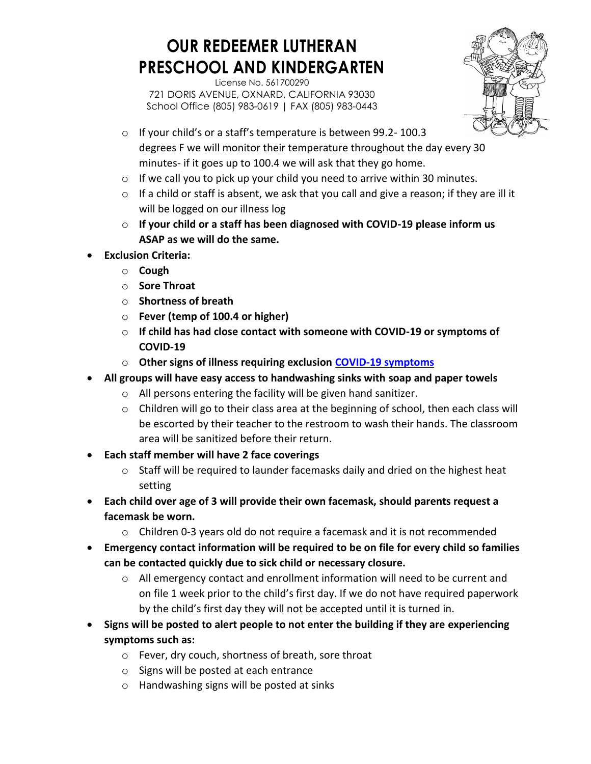

- o If your child's or a staff's temperature is between 99.2- 100.3 degrees F we will monitor their temperature throughout the day every 30 minutes- if it goes up to 100.4 we will ask that they go home.
- $\circ$  If we call you to pick up your child you need to arrive within 30 minutes.
- o If a child or staff is absent, we ask that you call and give a reason; if they are ill it will be logged on our illness log
- o **If your child or a staff has been diagnosed with COVID-19 please inform us ASAP as we will do the same.**
- **Exclusion Criteria:** 
	- o **Cough**
	- o **Sore Throat**
	- o **Shortness of breath**
	- o **Fever (temp of 100.4 or higher)**
	- o **If child has had close contact with someone with COVID-19 or symptoms of COVID-19**
	- o **Other signs of illness requiring exclusion [COVID-19 symptoms](about:blank)**
- **All groups will have easy access to handwashing sinks with soap and paper towels**
	- o All persons entering the facility will be given hand sanitizer.
	- $\circ$  Children will go to their class area at the beginning of school, then each class will be escorted by their teacher to the restroom to wash their hands. The classroom area will be sanitized before their return.
- **Each staff member will have 2 face coverings** 
	- $\circ$  Staff will be required to launder facemasks daily and dried on the highest heat setting
- **Each child over age of 3 will provide their own facemask, should parents request a facemask be worn.** 
	- $\circ$  Children 0-3 years old do not require a facemask and it is not recommended
- **Emergency contact information will be required to be on file for every child so families can be contacted quickly due to sick child or necessary closure.** 
	- o All emergency contact and enrollment information will need to be current and on file 1 week prior to the child's first day. If we do not have required paperwork by the child's first day they will not be accepted until it is turned in.
- **Signs will be posted to alert people to not enter the building if they are experiencing symptoms such as:** 
	- o Fever, dry couch, shortness of breath, sore throat
	- o Signs will be posted at each entrance
	- o Handwashing signs will be posted at sinks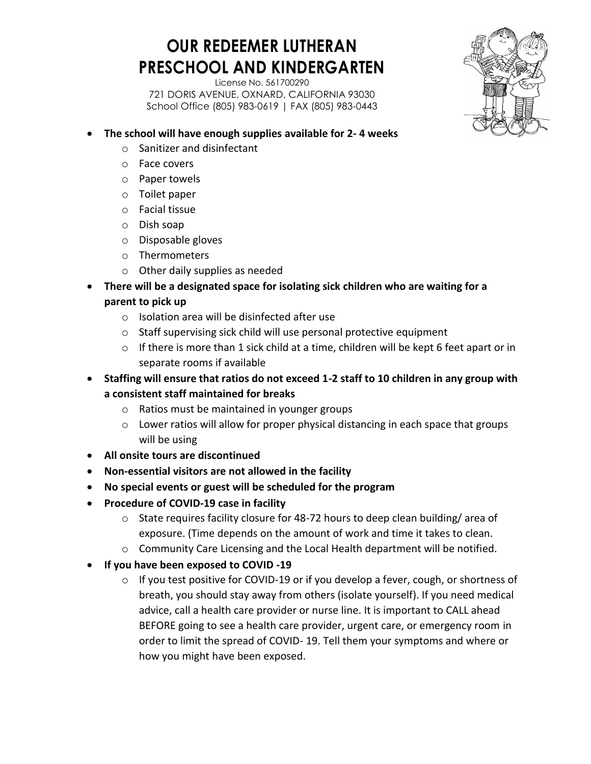

- **The school will have enough supplies available for 2- 4 weeks**
	- o Sanitizer and disinfectant
	- o Face covers
	- o Paper towels
	- o Toilet paper
	- o Facial tissue
	- o Dish soap
	- o Disposable gloves
	- o Thermometers
	- o Other daily supplies as needed
- **There will be a designated space for isolating sick children who are waiting for a parent to pick up** 
	- o Isolation area will be disinfected after use
	- o Staff supervising sick child will use personal protective equipment
	- o If there is more than 1 sick child at a time, children will be kept 6 feet apart or in separate rooms if available
- **Staffing will ensure that ratios do not exceed 1-2 staff to 10 children in any group with a consistent staff maintained for breaks** 
	- o Ratios must be maintained in younger groups
	- o Lower ratios will allow for proper physical distancing in each space that groups will be using
- **All onsite tours are discontinued**
- **Non-essential visitors are not allowed in the facility**
- **No special events or guest will be scheduled for the program**
- **Procedure of COVID-19 case in facility**
	- $\circ$  State requires facility closure for 48-72 hours to deep clean building/area of exposure. (Time depends on the amount of work and time it takes to clean.
	- o Community Care Licensing and the Local Health department will be notified.
- **If you have been exposed to COVID -19** 
	- $\circ$  If you test positive for COVID-19 or if you develop a fever, cough, or shortness of breath, you should stay away from others (isolate yourself). If you need medical advice, call a health care provider or nurse line. It is important to CALL ahead BEFORE going to see a health care provider, urgent care, or emergency room in order to limit the spread of COVID- 19. Tell them your symptoms and where or how you might have been exposed.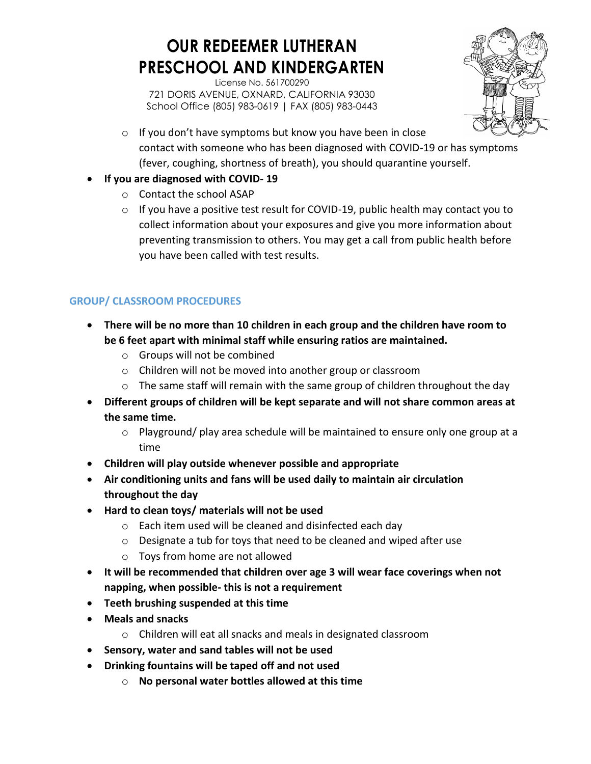License No. 561700290 721 DORIS AVENUE, OXNARD, CALIFORNIA 93030 School Office (805) 983-0619 | FAX (805) 983-0443



- o If you don't have symptoms but know you have been in close contact with someone who has been diagnosed with COVID-19 or has symptoms (fever, coughing, shortness of breath), you should quarantine yourself.
- **If you are diagnosed with COVID- 19** 
	- o Contact the school ASAP
	- $\circ$  If you have a positive test result for COVID-19, public health may contact you to collect information about your exposures and give you more information about preventing transmission to others. You may get a call from public health before you have been called with test results.

#### **GROUP/ CLASSROOM PROCEDURES**

- **There will be no more than 10 children in each group and the children have room to be 6 feet apart with minimal staff while ensuring ratios are maintained.**
	- o Groups will not be combined
	- o Children will not be moved into another group or classroom
	- $\circ$  The same staff will remain with the same group of children throughout the day
- **Different groups of children will be kept separate and will not share common areas at the same time.** 
	- $\circ$  Playground/ play area schedule will be maintained to ensure only one group at a time
- **Children will play outside whenever possible and appropriate**
- **Air conditioning units and fans will be used daily to maintain air circulation throughout the day**
- **Hard to clean toys/ materials will not be used** 
	- o Each item used will be cleaned and disinfected each day
	- o Designate a tub for toys that need to be cleaned and wiped after use
	- o Toys from home are not allowed
- **It will be recommended that children over age 3 will wear face coverings when not napping, when possible- this is not a requirement**
- **Teeth brushing suspended at this time**
- **Meals and snacks** 
	- o Children will eat all snacks and meals in designated classroom
- **Sensory, water and sand tables will not be used**
- **Drinking fountains will be taped off and not used**
	- o **No personal water bottles allowed at this time**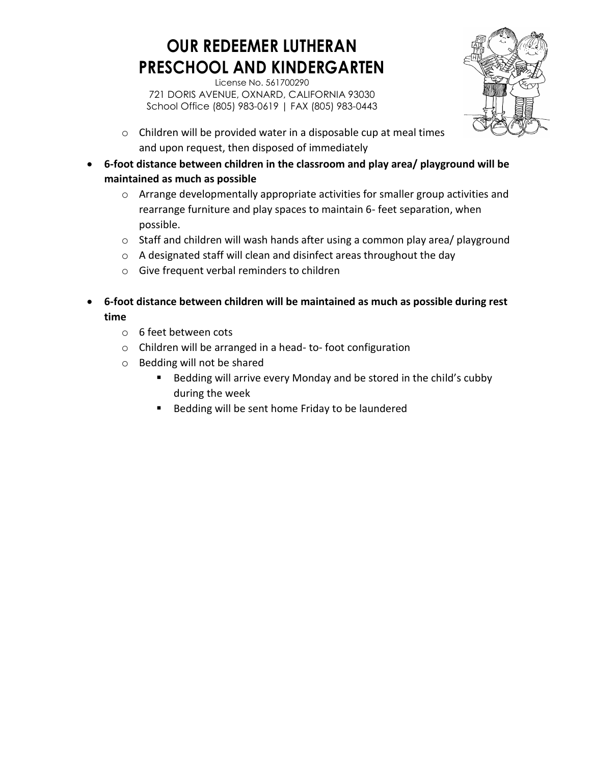

- o Children will be provided water in a disposable cup at meal times and upon request, then disposed of immediately
- **6-foot distance between children in the classroom and play area/ playground will be maintained as much as possible** 
	- o Arrange developmentally appropriate activities for smaller group activities and rearrange furniture and play spaces to maintain 6- feet separation, when possible.
	- $\circ$  Staff and children will wash hands after using a common play area/ playground
	- o A designated staff will clean and disinfect areas throughout the day
	- o Give frequent verbal reminders to children
- **6-foot distance between children will be maintained as much as possible during rest time** 
	- o 6 feet between cots
	- o Children will be arranged in a head- to- foot configuration
	- o Bedding will not be shared
		- **Bedding will arrive every Monday and be stored in the child's cubby** during the week
		- **Bedding will be sent home Friday to be laundered**